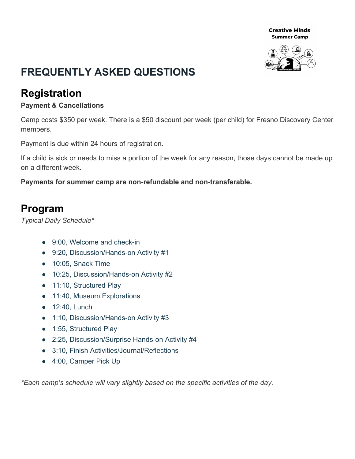**Creative Minds Summer Camp** 



# **FREQUENTLY ASKED QUESTIONS**

### **Registration**

### **Payment & Cancellations**

Camp costs \$350 per week. There is a \$50 discount per week (per child) for Fresno Discovery Center members.

Payment is due within 24 hours of registration.

If a child is sick or needs to miss a portion of the week for any reason, those days cannot be made up on a different week.

**Payments for summer camp are non-refundable and non-transferable.**

### **Program**

*Typical Daily Schedule\**

- 9:00, Welcome and check-in
- 9:20, Discussion/Hands-on Activity #1
- 10:05, Snack Time
- 10:25, Discussion/Hands-on Activity #2
- 11:10, Structured Play
- 11:40, Museum Explorations
- 12:40, Lunch
- 1:10, Discussion/Hands-on Activity #3
- 1:55, Structured Play
- 2:25, Discussion/Surprise Hands-on Activity #4
- 3:10, Finish Activities/Journal/Reflections
- 4:00, Camper Pick Up

*\*Each camp's schedule will vary slightly based on the specific activities of the day.*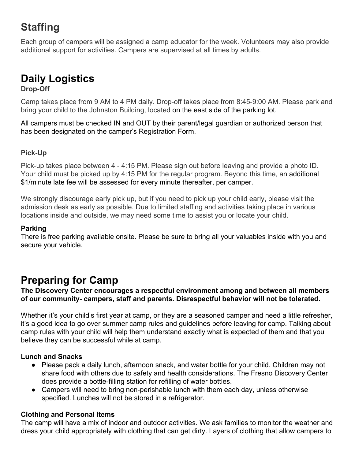# **Staffing**

Each group of campers will be assigned a camp educator for the week. Volunteers may also provide additional support for activities. Campers are supervised at all times by adults.

## **Daily Logistics**

### **Drop-Off**

Camp takes place from 9 AM to 4 PM daily. Drop-off takes place from 8:45-9:00 AM. Please park and bring your child to the Johnston Building, located on the east side of the parking lot.

All campers must be checked IN and OUT by their parent/legal guardian or authorized person that has been designated on the camper's Registration Form.

### **Pick-Up**

Pick-up takes place between 4 - 4:15 PM. Please sign out before leaving and provide a photo ID. Your child must be picked up by 4:15 PM for the regular program. Beyond this time, an additional \$1/minute late fee will be assessed for every minute thereafter, per camper.

We strongly discourage early pick up, but if you need to pick up your child early, please visit the admission desk as early as possible. Due to limited staffing and activities taking place in various locations inside and outside, we may need some time to assist you or locate your child.

#### **Parking**

There is free parking available onsite. Please be sure to bring all your valuables inside with you and secure your vehicle.

### **Preparing for Camp**

**The Discovery Center encourages a respectful environment among and between all members of our community- campers, staff and parents. Disrespectful behavior will not be tolerated.**

Whether it's your child's first year at camp, or they are a seasoned camper and need a little refresher, it's a good idea to go over summer camp rules and guidelines before leaving for camp. Talking about camp rules with your child will help them understand exactly what is expected of them and that you believe they can be successful while at camp.

### **Lunch and Snacks**

- Please pack a daily lunch, afternoon snack, and water bottle for your child. Children may not share food with others due to safety and health considerations. The Fresno Discovery Center does provide a bottle-filling station for refilling of water bottles.
- Campers will need to bring non-perishable lunch with them each day, unless otherwise specified. Lunches will not be stored in a refrigerator.

### **Clothing and Personal Items**

The camp will have a mix of indoor and outdoor activities. We ask families to monitor the weather and dress your child appropriately with clothing that can get dirty. Layers of clothing that allow campers to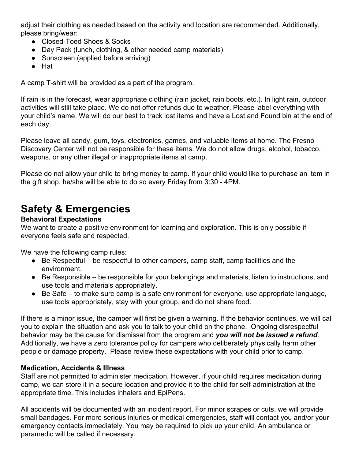adjust their clothing as needed based on the activity and location are recommended. Additionally, please bring/wear:

- Closed-Toed Shoes & Socks
- Day Pack (lunch, clothing, & other needed camp materials)
- Sunscreen (applied before arriving)
- Hat

A camp T-shirt will be provided as a part of the program.

If rain is in the forecast, wear appropriate clothing (rain jacket, rain boots, etc.). In light rain, outdoor activities will still take place. We do not offer refunds due to weather. Please label everything with your child's name. We will do our best to track lost items and have a Lost and Found bin at the end of each day.

Please leave all candy, gum, toys, electronics, games, and valuable items at home. The Fresno Discovery Center will not be responsible for these items. We do not allow drugs, alcohol, tobacco, weapons, or any other illegal or inappropriate items at camp.

Please do not allow your child to bring money to camp. If your child would like to purchase an item in the gift shop, he/she will be able to do so every Friday from 3:30 - 4PM.

## **Safety & Emergencies**

### **Behavioral Expectations**

We want to create a positive environment for learning and exploration. This is only possible if everyone feels safe and respected.

We have the following camp rules:

- Be Respectful be respectful to other campers, camp staff, camp facilities and the environment.
- Be Responsible be responsible for your belongings and materials, listen to instructions, and use tools and materials appropriately.
- Be Safe to make sure camp is a safe environment for everyone, use appropriate language, use tools appropriately, stay with your group, and do not share food.

If there is a minor issue, the camper will first be given a warning. If the behavior continues, we will call you to explain the situation and ask you to talk to your child on the phone. Ongoing disrespectful behavior may be the cause for dismissal from the program and *you will not be issued a refund*. Additionally, we have a zero tolerance policy for campers who deliberately physically harm other people or damage property. Please review these expectations with your child prior to camp.

### **Medication, Accidents & Illness**

Staff are not permitted to administer medication. However, if your child requires medication during camp, we can store it in a secure location and provide it to the child for self-administration at the appropriate time. This includes inhalers and EpiPens.

All accidents will be documented with an incident report. For minor scrapes or cuts, we will provide small bandages. For more serious injuries or medical emergencies, staff will contact you and/or your emergency contacts immediately. You may be required to pick up your child. An ambulance or paramedic will be called if necessary.